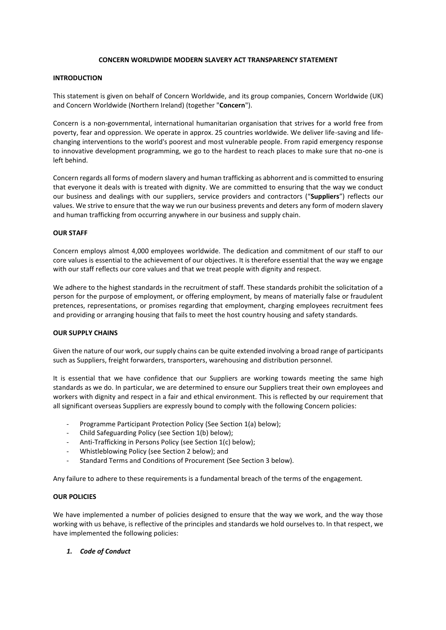### **CONCERN WORLDWIDE MODERN SLAVERY ACT TRANSPARENCY STATEMENT**

## **INTRODUCTION**

This statement is given on behalf of Concern Worldwide, and its group companies, Concern Worldwide (UK) and Concern Worldwide (Northern Ireland) (together "**Concern**").

Concern is a non-governmental, international humanitarian organisation that strives for a world free from poverty, fear and oppression. We operate in approx. 25 countries worldwide. We deliver life-saving and lifechanging interventions to the world's poorest and most vulnerable people. From rapid emergency response to innovative development programming, we go to the hardest to reach places to make sure that no-one is left behind.

Concern regards all forms of modern slavery and human trafficking as abhorrent and is committed to ensuring that everyone it deals with is treated with dignity. We are committed to ensuring that the way we conduct our business and dealings with our suppliers, service providers and contractors ("**Suppliers**") reflects our values. We strive to ensure that the way we run our business prevents and deters any form of modern slavery and human trafficking from occurring anywhere in our business and supply chain.

### **OUR STAFF**

Concern employs almost 4,000 employees worldwide. The dedication and commitment of our staff to our core values is essential to the achievement of our objectives. It is therefore essential that the way we engage with our staff reflects our core values and that we treat people with dignity and respect.

We adhere to the highest standards in the recruitment of staff. These standards prohibit the solicitation of a person for the purpose of employment, or offering employment, by means of materially false or fraudulent pretences, representations, or promises regarding that employment, charging employees recruitment fees and providing or arranging housing that fails to meet the host country housing and safety standards.

#### **OUR SUPPLY CHAINS**

Given the nature of our work, our supply chains can be quite extended involving a broad range of participants such as Suppliers, freight forwarders, transporters, warehousing and distribution personnel.

It is essential that we have confidence that our Suppliers are working towards meeting the same high standards as we do. In particular, we are determined to ensure our Suppliers treat their own employees and workers with dignity and respect in a fair and ethical environment. This is reflected by our requirement that all significant overseas Suppliers are expressly bound to comply with the following Concern policies:

- Programme Participant Protection Policy (See Section 1(a) below);
- Child Safeguarding Policy (see Section 1(b) below);
- Anti-Trafficking in Persons Policy (see Section 1(c) below);
- Whistleblowing Policy (see Section 2 below); and
- Standard Terms and Conditions of Procurement (See Section 3 below).

Any failure to adhere to these requirements is a fundamental breach of the terms of the engagement.

### **OUR POLICIES**

We have implemented a number of policies designed to ensure that the way we work, and the way those working with us behave, is reflective of the principles and standards we hold ourselves to. In that respect, we have implemented the following policies:

#### *1. Code of Conduct*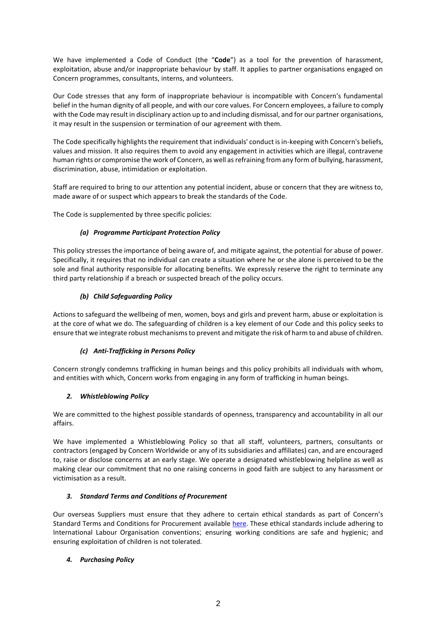We have implemented a Code of Conduct (the "**Code**") as a tool for the prevention of harassment, exploitation, abuse and/or inappropriate behaviour by staff. It applies to partner organisations engaged on Concern programmes, consultants, interns, and volunteers.

Our Code stresses that any form of inappropriate behaviour is incompatible with Concern's fundamental belief in the human dignity of all people, and with our core values. For Concern employees, a failure to comply with the Code may result in disciplinary action up to and including dismissal, and for our partner organisations, it may result in the suspension or termination of our agreement with them.

The Code specifically highlights the requirement that individuals' conduct is in-keeping with Concern's beliefs, values and mission. It also requires them to avoid any engagement in activities which are illegal, contravene human rights or compromise the work of Concern, as well as refraining from any form of bullying, harassment, discrimination, abuse, intimidation or exploitation.

Staff are required to bring to our attention any potential incident, abuse or concern that they are witness to, made aware of or suspect which appears to break the standards of the Code.

The Code is supplemented by three specific policies:

# *(a) Programme Participant Protection Policy*

This policy stresses the importance of being aware of, and mitigate against, the potential for abuse of power. Specifically, it requires that no individual can create a situation where he or she alone is perceived to be the sole and final authority responsible for allocating benefits. We expressly reserve the right to terminate any third party relationship if a breach or suspected breach of the policy occurs.

# *(b) Child Safeguarding Policy*

Actions to safeguard the wellbeing of men, women, boys and girls and prevent harm, abuse or exploitation is at the core of what we do. The safeguarding of children is a key element of our Code and this policy seeks to ensure that we integrate robust mechanisms to prevent and mitigate the risk of harm to and abuse of children.

# *(c) Anti-Trafficking in Persons Policy*

Concern strongly condemns trafficking in human beings and this policy prohibits all individuals with whom, and entities with which, Concern works from engaging in any form of trafficking in human beings.

### *2. Whistleblowing Policy*

We are committed to the highest possible standards of openness, transparency and accountability in all our affairs.

We have implemented a Whistleblowing Policy so that all staff, volunteers, partners, consultants or contractors (engaged by Concern Worldwide or any of its subsidiaries and affiliates) can, and are encouraged to, raise or disclose concerns at an early stage. We operate a designated whistleblowing helpline as well as making clear our commitment that no one raising concerns in good faith are subject to any harassment or victimisation as a result.

### *3. Standard Terms and Conditions of Procurement*

Our overseas Suppliers must ensure that they adhere to certain ethical standards as part of Concern's Standard Terms and Conditions for Procurement available [here.](https://www.concern.net/accountability/supply-chains) These ethical standards include adhering to International Labour Organisation conventions; ensuring working conditions are safe and hygienic; and ensuring exploitation of children is not tolerated.

### *4. Purchasing Policy*